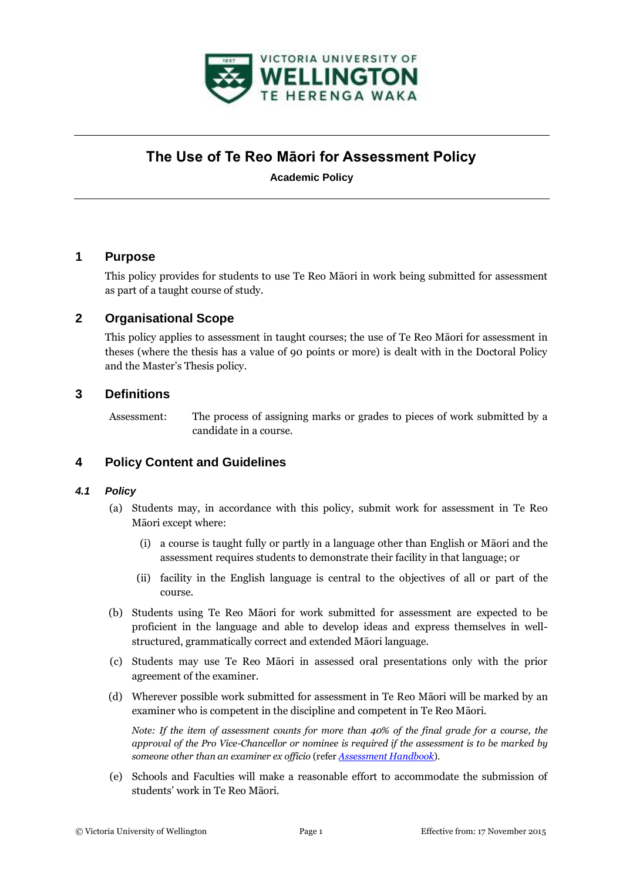

# **The Use of Te Reo Māori for Assessment Policy**

**Academic Policy**

# **1 Purpose**

This policy provides for students to use Te Reo Māori in work being submitted for assessment as part of a taught course of study.

# **2 Organisational Scope**

This policy applies to assessment in taught courses; the use of Te Reo Māori for assessment in theses (where the thesis has a value of 90 points or more) is dealt with in the Doctoral Policy and the Master's Thesis policy.

## **3 Definitions**

Assessment: The process of assigning marks or grades to pieces of work submitted by a candidate in a course.

# **4 Policy Content and Guidelines**

#### *4.1 Policy*

- (a) Students may, in accordance with this policy, submit work for assessment in Te Reo Māori except where:
	- (i) a course is taught fully or partly in a language other than English or Māori and the assessment requires students to demonstrate their facility in that language; or
	- (ii) facility in the English language is central to the objectives of all or part of the course.
- (b) Students using Te Reo Māori for work submitted for assessment are expected to be proficient in the language and able to develop ideas and express themselves in wellstructured, grammatically correct and extended Māori language.
- (c) Students may use Te Reo Māori in assessed oral presentations only with the prior agreement of the examiner.
- (d) Wherever possible work submitted for assessment in Te Reo Māori will be marked by an examiner who is competent in the discipline and competent in Te Reo Māori.

*Note: If the item of assessment counts for more than 40% of the final grade for a course, the approval of the Pro Vice-Chancellor or nominee is required if the assessment is to be marked by someone other than an examiner ex officio* (refer *[Assessment Handbook](http://www.victoria.ac.nz/home/about/avcacademic/publications/assessment-handbook.pdf)*).

(e) Schools and Faculties will make a reasonable effort to accommodate the submission of students' work in Te Reo Māori.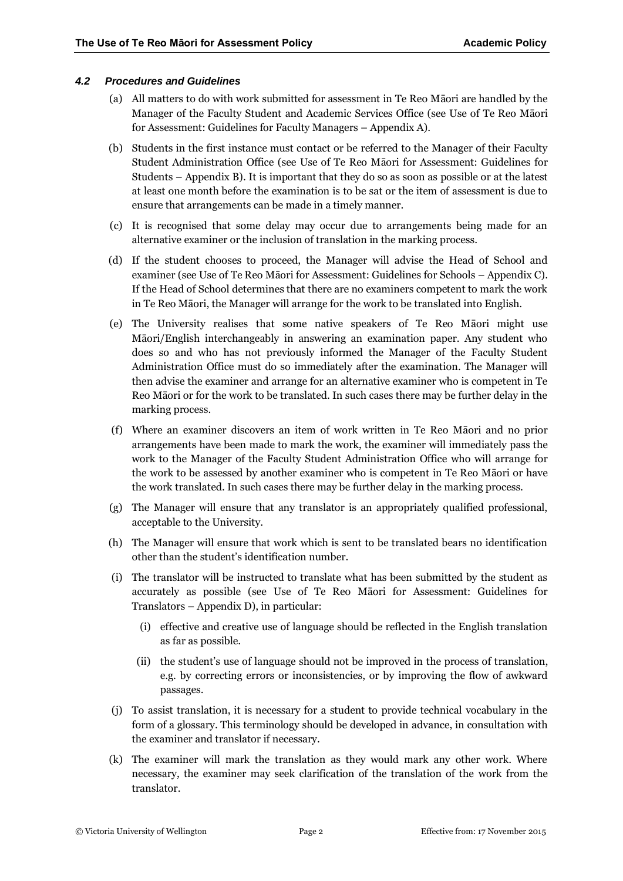#### *4.2 Procedures and Guidelines*

- (a) All matters to do with work submitted for assessment in Te Reo Māori are handled by the Manager of the Faculty Student and Academic Services Office (see Use of Te Reo Māori for Assessment: Guidelines for Faculty Managers – Appendix A).
- (b) Students in the first instance must contact or be referred to the Manager of their Faculty Student Administration Office (see Use of Te Reo Māori for Assessment: Guidelines for Students – Appendix B). It is important that they do so as soon as possible or at the latest at least one month before the examination is to be sat or the item of assessment is due to ensure that arrangements can be made in a timely manner.
- (c) It is recognised that some delay may occur due to arrangements being made for an alternative examiner or the inclusion of translation in the marking process.
- (d) If the student chooses to proceed, the Manager will advise the Head of School and examiner (see Use of Te Reo Māori for Assessment: Guidelines for Schools – Appendix C). If the Head of School determines that there are no examiners competent to mark the work in Te Reo Māori, the Manager will arrange for the work to be translated into English.
- (e) The University realises that some native speakers of Te Reo Māori might use Māori/English interchangeably in answering an examination paper. Any student who does so and who has not previously informed the Manager of the Faculty Student Administration Office must do so immediately after the examination. The Manager will then advise the examiner and arrange for an alternative examiner who is competent in Te Reo Māori or for the work to be translated. In such cases there may be further delay in the marking process.
- (f) Where an examiner discovers an item of work written in Te Reo Māori and no prior arrangements have been made to mark the work, the examiner will immediately pass the work to the Manager of the Faculty Student Administration Office who will arrange for the work to be assessed by another examiner who is competent in Te Reo Māori or have the work translated. In such cases there may be further delay in the marking process.
- (g) The Manager will ensure that any translator is an appropriately qualified professional, acceptable to the University.
- (h) The Manager will ensure that work which is sent to be translated bears no identification other than the student's identification number.
- (i) The translator will be instructed to translate what has been submitted by the student as accurately as possible (see Use of Te Reo Māori for Assessment: Guidelines for Translators – Appendix D), in particular:
	- (i) effective and creative use of language should be reflected in the English translation as far as possible.
	- (ii) the student's use of language should not be improved in the process of translation, e.g. by correcting errors or inconsistencies, or by improving the flow of awkward passages.
- (j) To assist translation, it is necessary for a student to provide technical vocabulary in the form of a glossary. This terminology should be developed in advance, in consultation with the examiner and translator if necessary.
- (k) The examiner will mark the translation as they would mark any other work. Where necessary, the examiner may seek clarification of the translation of the work from the translator.